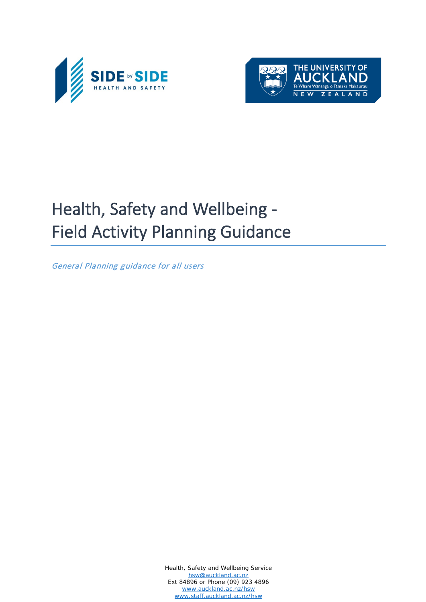



# Health, Safety and Wellbeing - Field Activity Planning Guidance

General Planning guidance for all users

Health, Safety and Wellbeing Service [hsw@auckland.ac.nz](mailto:hsw@auckland.ac.nz) Ext 84896 or Phone (09) 923 4896 [www.auckland.ac.nz/hsw](http://www.auckland.ac.nz/hsw) [www.staff.auckland.ac.nz/hsw](http://www.staff.auckland.ac.nz/hsw)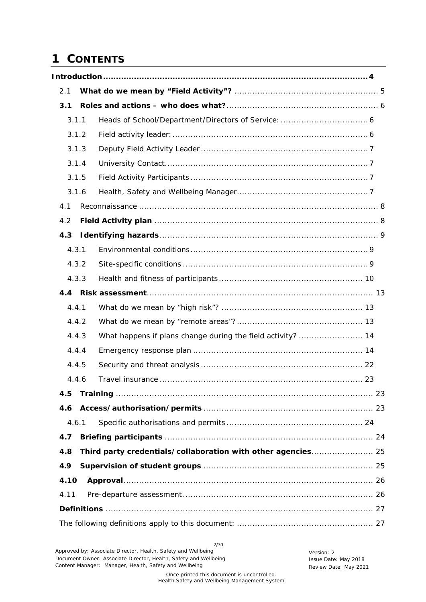# **1 CONTENTS**

| 2.1  |       |                                                              |
|------|-------|--------------------------------------------------------------|
| 3.1  |       |                                                              |
|      | 3.1.1 |                                                              |
|      | 3.1.2 |                                                              |
|      | 3.1.3 |                                                              |
|      | 3.1.4 |                                                              |
|      | 3.1.5 |                                                              |
|      | 3.1.6 |                                                              |
| 4.1  |       |                                                              |
| 4.2  |       |                                                              |
| 4.3  |       |                                                              |
|      | 4.3.1 |                                                              |
|      | 4.3.2 |                                                              |
|      | 4.3.3 |                                                              |
|      |       |                                                              |
|      | 4.4.1 |                                                              |
|      | 4.4.2 |                                                              |
|      | 4.4.3 |                                                              |
|      | 4.4.4 |                                                              |
|      | 4.4.5 |                                                              |
|      | 4.4.6 |                                                              |
| 4.5  |       |                                                              |
| 4.6  |       |                                                              |
|      | 4.6.1 |                                                              |
| 4.7  |       |                                                              |
| 4.8  |       | Third party credentials/collaboration with other agencies 25 |
| 4.9  |       |                                                              |
| 4.10 |       |                                                              |
| 4.11 |       |                                                              |
|      |       |                                                              |
|      |       |                                                              |

2/30 Approved by: Associate Director, Health, Safety and Wellbeing<br>
Document Owner: Associate Director, Health, Safety and Wellbeing<br>
Issue Date: May 2018 Document Owner: Associate Director, Health, Safety and Wellbeing Content Manager: Manager, Health, Safety and Wellbeing Manusculphen Review Date: May 2021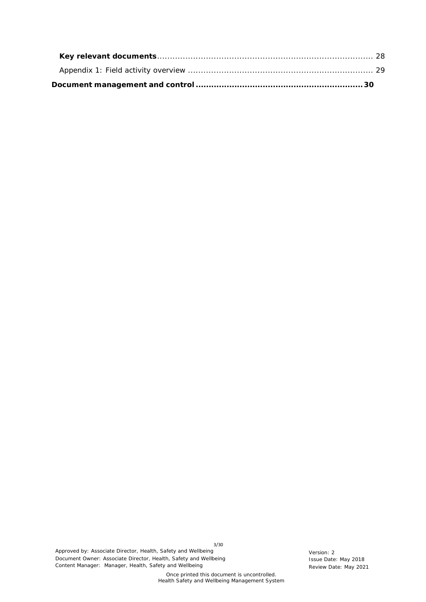3/30 Approved by: Associate Director, Health, Safety and Wellbeing<br>
Document Owner: Associate Director, Health, Safety and Wellbeing<br>
Issue Date: May 2018 Document Owner: Associate Director, Health, Safety and Wellbeing Content Manager: Manager, Health, Safety and Wellbeing Review Date: May 2021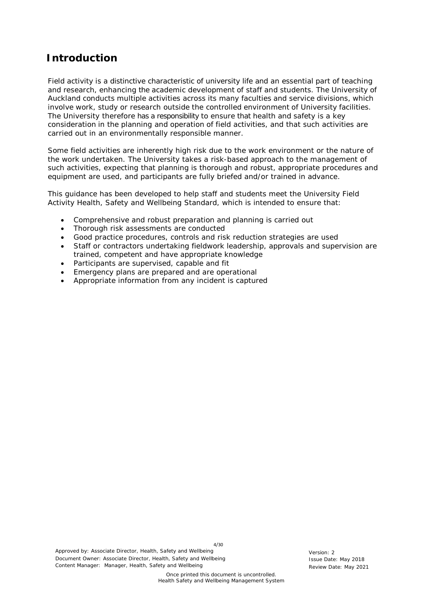## <span id="page-3-0"></span>**Introduction**

Field activity is a distinctive characteristic of university life and an essential part of teaching and research, enhancing the academic development of staff and students. The University of Auckland conducts multiple activities across its many faculties and service divisions, which involve work, study or research outside the controlled environment of University facilities. The University therefore has a responsibility to ensure that health and safety is a key consideration in the planning and operation of field activities, and that such activities are carried out in an environmentally responsible manner.

Some field activities are inherently high risk due to the work environment or the nature of the work undertaken. The University takes a risk-based approach to the management of such activities, expecting that planning is thorough and robust, appropriate procedures and equipment are used, and participants are fully briefed and/or trained in advance.

This guidance has been developed to help staff and students meet the University Field Activity Health, Safety and Wellbeing Standard, which is intended to ensure that:

- Comprehensive and robust preparation and planning is carried out
- Thorough risk assessments are conducted
- Good practice procedures, controls and risk reduction strategies are used
- Staff or contractors undertaking fieldwork leadership, approvals and supervision are trained, competent and have appropriate knowledge
- Participants are supervised, capable and fit
- Emergency plans are prepared and are operational
- Appropriate information from any incident is captured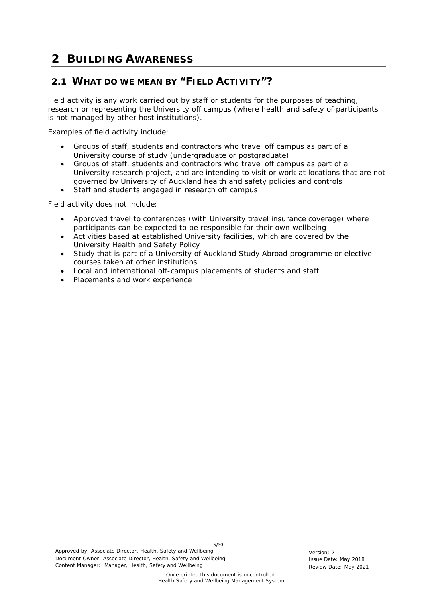# **2 BUILDING AWARENESS**

## <span id="page-4-0"></span>**2.1 WHAT DO WE MEAN BY "FIELD ACTIVITY"?**

Field activity is any work carried out by staff or students for the purposes of teaching, research or representing the University off campus (where health and safety of participants is not managed by other host institutions).

Examples of field activity include:

- Groups of staff, students and contractors who travel off campus as part of a University course of study (undergraduate or postgraduate)
- Groups of staff, students and contractors who travel off campus as part of a University research project, and are intending to visit or work at locations that are not governed by University of Auckland health and safety policies and controls
- Staff and students engaged in research off campus

Field activity does not include:

- Approved travel to conferences (with University travel insurance coverage) where participants can be expected to be responsible for their own wellbeing
- Activities based at established University facilities, which are covered by the University Health and Safety Policy
- Study that is part of a University of Auckland Study Abroad programme or elective courses taken at other institutions
- Local and international off-campus placements of students and staff
- Placements and work experience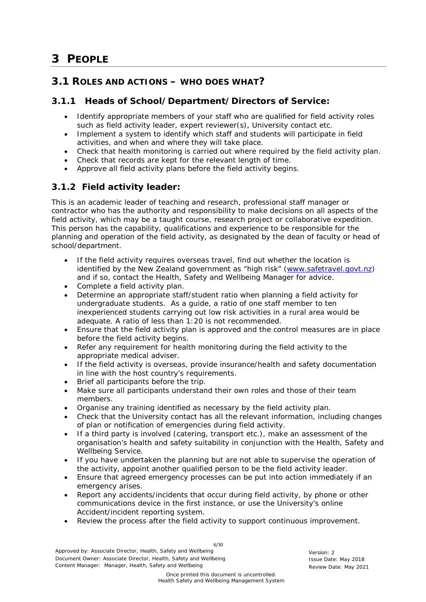# **3 PEOPLE**

## <span id="page-5-0"></span>**3.1 ROLES AND ACTIONS – WHO DOES WHAT?**

#### **3.1.1 Heads of School/Department/Directors of Service:**

- <span id="page-5-1"></span>• Identify appropriate members of your staff who are qualified for field activity roles such as field activity leader, expert reviewer(s), University contact etc.
- Implement a system to identify which staff and students will participate in field activities, and when and where they will take place.
- Check that health monitoring is carried out where required by the field activity plan.
- Check that records are kept for the relevant length of time.
- Approve all field activity plans before the field activity begins.

## <span id="page-5-2"></span>**3.1.2 Field activity leader:**

This is an academic leader of teaching and research, professional staff manager or contractor who has the authority and responsibility to make decisions on all aspects of the field activity, which may be a taught course, research project or collaborative expedition. This person has the capability, qualifications and experience to be responsible for the planning and operation of the field activity, as designated by the dean of faculty or head of school/department.

- If the field activity requires overseas travel, find out whether the location is identified by the New Zealand government as "high risk" (www.safetravel.govt.nz) and if so, contact the Health, Safety and Wellbeing Manager for advice.
- Complete a field activity plan.
- Determine an appropriate staff/student ratio when planning a field activity for undergraduate students. As a guide, a ratio of one staff member to ten inexperienced students carrying out low risk activities in a rural area would be adequate. A ratio of less than 1:20 is not recommended.
- Ensure that the field activity plan is approved and the control measures are in place before the field activity begins.
- Refer any requirement for health monitoring during the field activity to the appropriate medical adviser.
- If the field activity is overseas, provide insurance/health and safety documentation in line with the host country's requirements.
- Brief all participants before the trip.
- Make sure all participants understand their own roles and those of their team members.
- Organise any training identified as necessary by the field activity plan.
- Check that the University contact has all the relevant information, including changes of plan or notification of emergencies during field activity.
- If a third party is involved (catering, transport etc.), make an assessment of the organisation's health and safety suitability in conjunction with the Health, Safety and Wellbeing Service.
- If you have undertaken the planning but are not able to supervise the operation of the activity, appoint another qualified person to be the field activity leader.
- Ensure that agreed emergency processes can be put into action immediately if an emergency arises.
- Report any accidents/incidents that occur during field activity, by phone or other communications device in the first instance, or use the University's online Accident/incident reporting system.
- Review the process after the field activity to support continuous improvement.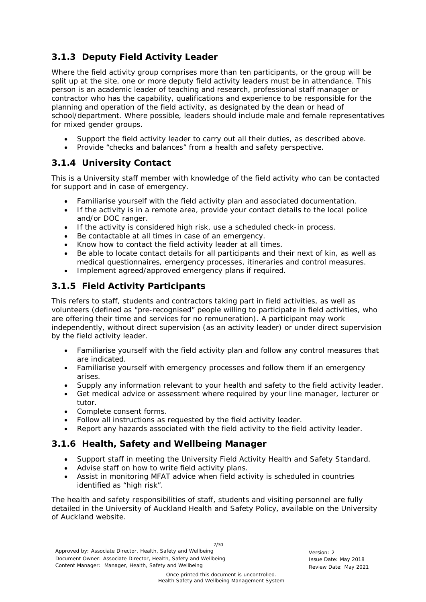## <span id="page-6-0"></span>**3.1.3 Deputy Field Activity Leader**

Where the field activity group comprises more than ten participants, or the group will be split up at the site, one or more deputy field activity leaders must be in attendance. This person is an academic leader of teaching and research, professional staff manager or contractor who has the capability, qualifications and experience to be responsible for the planning and operation of the field activity, as designated by the dean or head of school/department. Where possible, leaders should include male and female representatives for mixed gender groups.

- Support the field activity leader to carry out all their duties, as described above.
- Provide "checks and balances" from a health and safety perspective.

## <span id="page-6-1"></span>**3.1.4 University Contact**

This is a University staff member with knowledge of the field activity who can be contacted for support and in case of emergency.

- Familiarise yourself with the field activity plan and associated documentation.
- If the activity is in a remote area, provide your contact details to the local police and/or DOC ranger.
- If the activity is considered high risk, use a scheduled check-in process.
- Be contactable at all times in case of an emergency.
- Know how to contact the field activity leader at all times.
- Be able to locate contact details for all participants and their next of kin, as well as medical questionnaires, emergency processes, itineraries and control measures.
- Implement agreed/approved emergency plans if required.

## <span id="page-6-2"></span>**3.1.5 Field Activity Participants**

This refers to staff, students and contractors taking part in field activities, as well as volunteers (defined as "pre-recognised" people willing to participate in field activities, who are offering their time and services for no remuneration). A participant may work independently, without direct supervision (as an activity leader) or under direct supervision by the field activity leader.

- Familiarise yourself with the field activity plan and follow any control measures that are indicated.
- Familiarise yourself with emergency processes and follow them if an emergency arises.
- Supply any information relevant to your health and safety to the field activity leader.
- Get medical advice or assessment where required by your line manager, lecturer or tutor.
- Complete consent forms.
- Follow all instructions as requested by the field activity leader.
- Report any hazards associated with the field activity to the field activity leader.

## <span id="page-6-3"></span>**3.1.6 Health, Safety and Wellbeing Manager**

- Support staff in meeting the University Field Activity Health and Safety Standard.
- Advise staff on how to write field activity plans.
- Assist in monitoring MFAT advice when field activity is scheduled in countries identified as "high risk".

The health and safety responsibilities of staff, students and visiting personnel are fully detailed in the University of Auckland Health and Safety Policy, available on the University of Auckland website.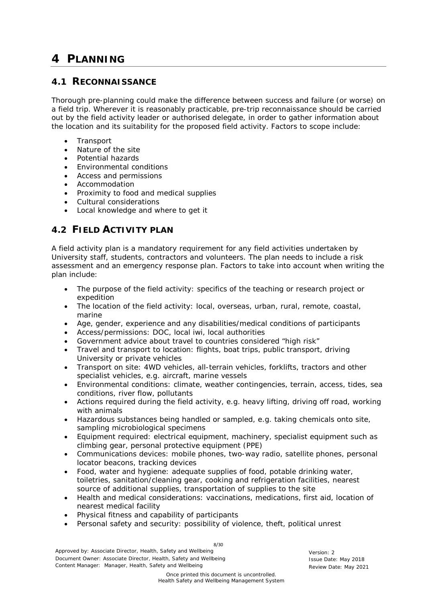# **4 PLANNING**

## <span id="page-7-0"></span>**4.1 RECONNAISSANCE**

Thorough pre-planning could make the difference between success and failure (or worse) on a field trip. Wherever it is reasonably practicable, pre-trip reconnaissance should be carried out by the field activity leader or authorised delegate, in order to gather information about the location and its suitability for the proposed field activity. Factors to scope include:

- Transport
- Nature of the site
- Potential hazards
- Environmental conditions
- Access and permissions
- Accommodation
- Proximity to food and medical supplies
- Cultural considerations
- Local knowledge and where to get it

## <span id="page-7-1"></span>**4.2 FIELD ACTIVITY PLAN**

A field activity plan is a mandatory requirement for any field activities undertaken by University staff, students, contractors and volunteers. The plan needs to include a risk assessment and an emergency response plan. Factors to take into account when writing the plan include:

- The purpose of the field activity: specifics of the teaching or research project or expedition
- The location of the field activity: local, overseas, urban, rural, remote, coastal, marine
- Age, gender, experience and any disabilities/medical conditions of participants
- Access/permissions: DOC, local iwi, local authorities
- Government advice about travel to countries considered "high risk"
- Travel and transport to location: flights, boat trips, public transport, driving University or private vehicles
- Transport on site: 4WD vehicles, all-terrain vehicles, forklifts, tractors and other specialist vehicles, e.g. aircraft, marine vessels
- Environmental conditions: climate, weather contingencies, terrain, access, tides, sea conditions, river flow, pollutants
- Actions required during the field activity, e.g. heavy lifting, driving off road, working with animals
- Hazardous substances being handled or sampled, e.g. taking chemicals onto site, sampling microbiological specimens
- Equipment required: electrical equipment, machinery, specialist equipment such as climbing gear, personal protective equipment (PPE)
- Communications devices: mobile phones, two-way radio, satellite phones, personal locator beacons, tracking devices
- Food, water and hygiene: adequate supplies of food, potable drinking water, toiletries, sanitation/cleaning gear, cooking and refrigeration facilities, nearest source of additional supplies, transportation of supplies to the site
- Health and medical considerations: vaccinations, medications, first aid, location of nearest medical facility
- Physical fitness and capability of participants
- Personal safety and security: possibility of violence, theft, political unrest

Approved by: Associate Director, Health, Safety and Wellbeing Version: 2 Document Owner: Associate Director, Health, Safety and Wellbeing Issue Constant Issue Date: May 2018 Content Manager: Manager, Health, Safety and Wellbeing Review Date: May 2021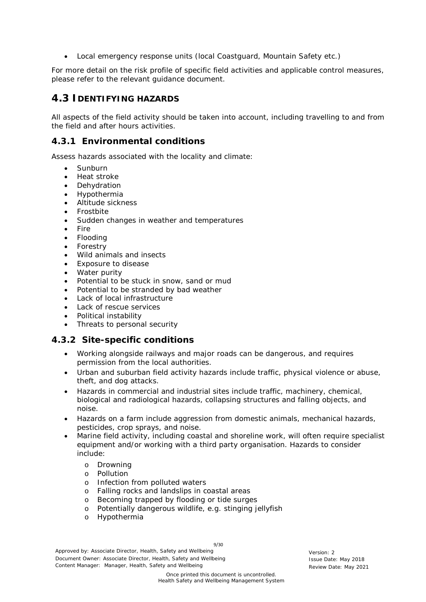• Local emergency response units (local Coastguard, Mountain Safety etc.)

For more detail on the risk profile of specific field activities and applicable control measures, please refer to the relevant guidance document.

## <span id="page-8-0"></span>**4.3 IDENTIFYING HAZARDS**

All aspects of the field activity should be taken into account, including travelling to and from the field and after hours activities.

#### <span id="page-8-1"></span>**4.3.1 Environmental conditions**

Assess hazards associated with the locality and climate:

- Sunburn
- Heat stroke
- Dehydration
- Hypothermia
- Altitude sickness
- Frostbite
- Sudden changes in weather and temperatures
- Fire
- Flooding
- Forestry
- Wild animals and insects
- Exposure to disease
- Water purity
- Potential to be stuck in snow, sand or mud
- Potential to be stranded by bad weather
- Lack of local infrastructure
- Lack of rescue services
- Political instability
- Threats to personal security

#### <span id="page-8-2"></span>**4.3.2 Site-specific conditions**

- Working alongside railways and major roads can be dangerous, and requires permission from the local authorities.
- Urban and suburban field activity hazards include traffic, physical violence or abuse, theft, and dog attacks.
- Hazards in commercial and industrial sites include traffic, machinery, chemical, biological and radiological hazards, collapsing structures and falling objects, and noise.
- Hazards on a farm include aggression from domestic animals, mechanical hazards, pesticides, crop sprays, and noise.
- Marine field activity, including coastal and shoreline work, will often require specialist equipment and/or working with a third party organisation. Hazards to consider include:
	- o Drowning
	- o Pollution
	- o Infection from polluted waters
	- o Falling rocks and landslips in coastal areas
	- o Becoming trapped by flooding or tide surges
	- o Potentially dangerous wildlife, e.g. stinging jellyfish
	- o Hypothermia

Approved by: Associate Director, Health, Safety and Wellbeing Version: 2 Document Owner: Associate Director, Health, Safety and Wellbeing Issue Date: May 2018 Content Manager: Manager, Health, Safety and Wellbeing Review Date: May 2021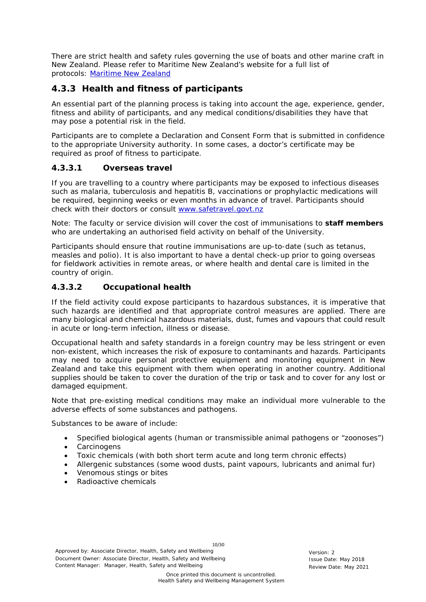There are strict health and safety rules governing the use of boats and other marine craft in New Zealand. Please refer to Maritime New Zealand's website for a full list of protocols: [Maritime New Zealand](http://www.maritimenz.govt.nz/Rules/List-of-all-rules/List-of-rules.asp#health_safety)

## <span id="page-9-0"></span>**4.3.3 Health and fitness of participants**

An essential part of the planning process is taking into account the age, experience, gender, fitness and ability of participants, and any medical conditions/disabilities they have that may pose a potential risk in the field.

Participants are to complete a Declaration and Consent Form that is submitted in confidence to the appropriate University authority. In some cases, a doctor's certificate may be required as proof of fitness to participate.

#### *4.3.3.1 Overseas travel*

If you are travelling to a country where participants may be exposed to infectious diseases such as malaria, tuberculosis and hepatitis B, vaccinations or prophylactic medications will be required, beginning weeks or even months in advance of travel. Participants should check with their doctors or consult www.safetravel.govt.nz

Note: The faculty or service division will cover the cost of immunisations to **staff members** who are undertaking an authorised field activity on behalf of the University.

Participants should ensure that routine immunisations are up-to-date (such as tetanus, measles and polio). It is also important to have a dental check-up prior to going overseas for fieldwork activities in remote areas, or where health and dental care is limited in the country of origin.

#### *4.3.3.2 Occupational health*

If the field activity could expose participants to hazardous substances, it is imperative that such hazards are identified and that appropriate control measures are applied. There are many biological and chemical hazardous materials, dust, fumes and vapours that could result in acute or long-term infection, illness or disease.

Occupational health and safety standards in a foreign country may be less stringent or even non-existent, which increases the risk of exposure to contaminants and hazards. Participants may need to acquire personal protective equipment and monitoring equipment in New Zealand and take this equipment with them when operating in another country. Additional supplies should be taken to cover the duration of the trip or task and to cover for any lost or damaged equipment.

Note that pre-existing medical conditions may make an individual more vulnerable to the adverse effects of some substances and pathogens.

Substances to be aware of include:

- Specified biological agents (human or transmissible animal pathogens or "zoonoses")
- Carcinogens
- Toxic chemicals (with both short term acute and long term chronic effects)
- Allergenic substances (some wood dusts, paint vapours, lubricants and animal fur)
- Venomous stings or bites
- Radioactive chemicals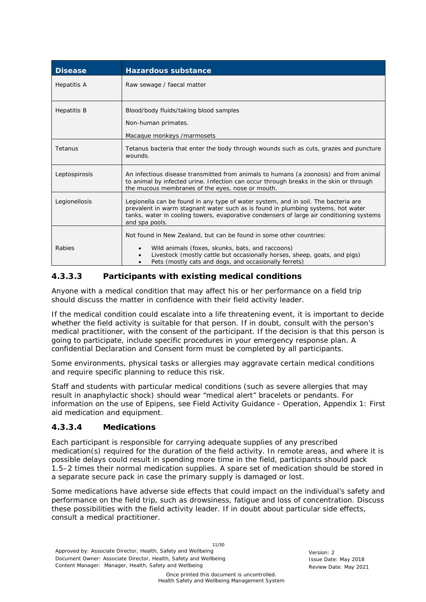| <b>Disease</b>     | <b>Hazardous substance</b>                                                                                                                                                                                                                                                           |
|--------------------|--------------------------------------------------------------------------------------------------------------------------------------------------------------------------------------------------------------------------------------------------------------------------------------|
| <b>Hepatitis A</b> | Raw sewage / faecal matter                                                                                                                                                                                                                                                           |
| <b>Hepatitis B</b> | Blood/body fluids/taking blood samples<br>Non-human primates.<br>Macaque monkeys / marmosets                                                                                                                                                                                         |
| Tetanus            | Tetanus bacteria that enter the body through wounds such as cuts, grazes and puncture<br>wounds.                                                                                                                                                                                     |
| Leptospirosis      | An infectious disease transmitted from animals to humans (a zoonosis) and from animal<br>to animal by infected urine. Infection can occur through breaks in the skin or through<br>the mucous membranes of the eyes, nose or mouth.                                                  |
| Legionellosis      | Legionella can be found in any type of water system, and in soil. The bacteria are<br>prevalent in warm stagnant water such as is found in plumbing systems, hot water<br>tanks, water in cooling towers, evaporative condensers of large air conditioning systems<br>and spa pools. |
| Rabies             | Not found in New Zealand, but can be found in some other countries:<br>Wild animals (foxes, skunks, bats, and raccoons)<br>Livestock (mostly cattle but occasionally horses, sheep, goats, and pigs)<br>Pets (mostly cats and dogs, and occasionally ferrets)                        |

#### *4.3.3.3 Participants with existing medical conditions*

Anyone with a medical condition that may affect his or her performance on a field trip should discuss the matter in confidence with their field activity leader.

If the medical condition could escalate into a life threatening event, it is important to decide whether the field activity is suitable for that person. If in doubt, consult with the person's medical practitioner, with the consent of the participant. If the decision is that this person is going to participate, include specific procedures in your emergency response plan. A confidential Declaration and Consent form must be completed by all participants.

Some environments, physical tasks or allergies may aggravate certain medical conditions and require specific planning to reduce this risk.

Staff and students with particular medical conditions (such as severe allergies that may result in anaphylactic shock) should wear "medical alert" bracelets or pendants. For information on the use of Epipens, see Field Activity Guidance - Operation, Appendix 1: *First aid medication and equipment*.

#### *4.3.3.4 Medications*

Each participant is responsible for carrying adequate supplies of any prescribed medication(s) required for the duration of the field activity. In remote areas, and where it is possible delays could result in spending more time in the field, participants should pack 1.5–2 times their normal medication supplies. A spare set of medication should be stored in a separate secure pack in case the primary supply is damaged or lost.

Some medications have adverse side effects that could impact on the individual's safety and performance on the field trip, such as drowsiness, fatigue and loss of concentration. Discuss these possibilities with the field activity leader. If in doubt about particular side effects, consult a medical practitioner.

11/30 Approved by: Associate Director, Health, Safety and Wellbeing Version: 2 Document Owner: Associate Director, Health, Safety and Wellbeing Issue Date: May 2018 Content Manager: Manager, Health, Safety and Wellbeing Review Date: May 2021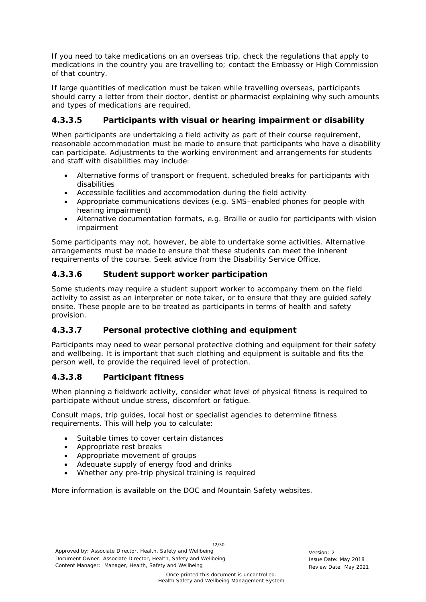If you need to take medications on an overseas trip, check the regulations that apply to medications in the country you are travelling to; contact the Embassy or High Commission of that country.

If large quantities of medication must be taken while travelling overseas, participants should carry a letter from their doctor, dentist or pharmacist explaining why such amounts and types of medications are required.

#### *4.3.3.5 Participants with visual or hearing impairment or disability*

When participants are undertaking a field activity as part of their course requirement, reasonable accommodation must be made to ensure that participants who have a disability can participate. Adjustments to the working environment and arrangements for students and staff with disabilities may include:

- Alternative forms of transport or frequent, scheduled breaks for participants with disabilities
- Accessible facilities and accommodation during the field activity
- Appropriate communications devices (e.g. SMS–enabled phones for people with hearing impairment)
- Alternative documentation formats, e.g. Braille or audio for participants with vision impairment

Some participants may not, however, be able to undertake some activities. Alternative arrangements must be made to ensure that these students can meet the inherent requirements of the course. Seek advice from the Disability Service Office.

#### *4.3.3.6 Student support worker participation*

Some students may require a student support worker to accompany them on the field activity to assist as an interpreter or note taker, or to ensure that they are guided safely onsite. These people are to be treated as participants in terms of health and safety provision.

#### *4.3.3.7 Personal protective clothing and equipment*

Participants may need to wear personal protective clothing and equipment for their safety and wellbeing. It is important that such clothing and equipment is suitable and fits the person well, to provide the required level of protection.

#### *4.3.3.8 Participant fitness*

When planning a fieldwork activity, consider what level of physical fitness is required to participate without undue stress, discomfort or fatigue.

Consult maps, trip guides, local host or specialist agencies to determine fitness requirements. This will help you to calculate:

- Suitable times to cover certain distances
- Appropriate rest breaks
- Appropriate movement of groups
- Adequate supply of energy food and drinks
- Whether any pre-trip physical training is required

More information is available on the DOC and Mountain Safety websites.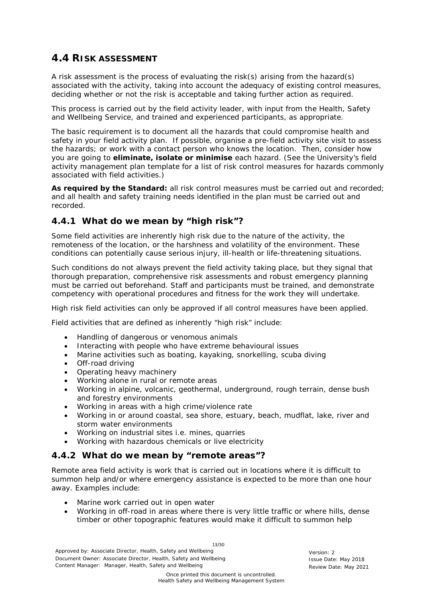## <span id="page-12-0"></span>**4.4 RISK ASSESSMENT**

A risk assessment is the process of evaluating the risk(s) arising from the hazard(s) associated with the activity, taking into account the adequacy of existing control measures, deciding whether or not the risk is acceptable and taking further action as required.

This process is carried out by the field activity leader, with input from the Health, Safety and Wellbeing Service, and trained and experienced participants, as appropriate.

The basic requirement is to document all the hazards that could compromise health and safety in your field activity plan. If possible, organise a pre-field activity site visit to assess the hazards; or work with a contact person who knows the location. Then, consider how you are going to **eliminate, isolate or minimise** each hazard. (See the University's field activity management plan template for a list of risk control measures for hazards commonly associated with field activities.)

**As required by the Standard:** all risk control measures must be carried out and recorded; and all health and safety training needs identified in the plan must be carried out and recorded.

## <span id="page-12-1"></span>**4.4.1 What do we mean by "high risk"?**

Some field activities are inherently high risk due to the nature of the activity, the remoteness of the location, or the harshness and volatility of the environment. These conditions can potentially cause serious injury, ill-health or life-threatening situations.

Such conditions do not always prevent the field activity taking place, but they signal that thorough preparation, comprehensive risk assessments and robust emergency planning must be carried out beforehand. Staff and participants must be trained, and demonstrate competency with operational procedures and fitness for the work they will undertake.

High risk field activities can only be approved if all control measures have been applied.

Field activities that are defined as inherently "high risk" include:

- Handling of dangerous or venomous animals
- Interacting with people who have extreme behavioural issues
- Marine activities such as boating, kayaking, snorkelling, scuba diving
- Off-road driving
- Operating heavy machinery
- Working alone in rural or remote areas
- Working in alpine, volcanic, geothermal, underground, rough terrain, dense bush and forestry environments
- Working in areas with a high crime/violence rate
- Working in or around coastal, sea shore, estuary, beach, mudflat, lake, river and storm water environments
- Working on industrial sites i.e. mines, quarries
- Working with hazardous chemicals or live electricity

## <span id="page-12-2"></span>**4.4.2 What do we mean by "remote areas"?**

Remote area field activity is work that is carried out in locations where it is difficult to summon help and/or where emergency assistance is expected to be more than one hour away. Examples include:

- Marine work carried out in open water
- Working in off-road in areas where there is very little traffic or where hills, dense timber or other topographic features would make it difficult to summon help

13/30

Approved by: Associate Director, Health, Safety and Wellbeing Version: 2 Document Owner: Associate Director, Health, Safety and Wellbeing Issue Date: May 2018 Content Manager: Manager, Health, Safety and Wellbeing Review Date: May 2021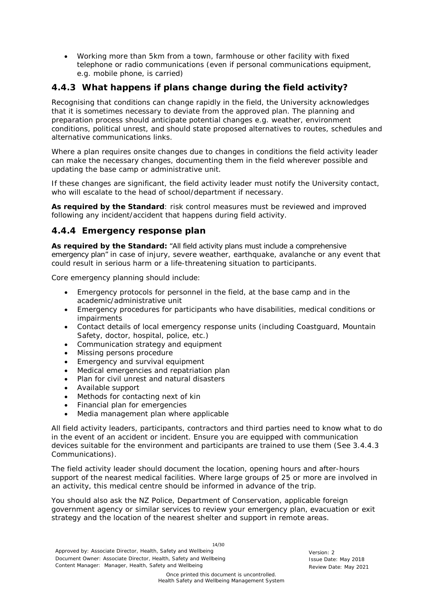• Working more than 5km from a town, farmhouse or other facility with fixed telephone or radio communications (even if personal communications equipment, e.g. mobile phone, is carried)

## <span id="page-13-0"></span>**4.4.3 What happens if plans change during the field activity?**

Recognising that conditions can change rapidly in the field, the University acknowledges that it is sometimes necessary to deviate from the approved plan. The planning and preparation process should anticipate potential changes e.g. weather, environment conditions, political unrest, and should state proposed alternatives to routes, schedules and alternative communications links.

Where a plan requires onsite changes due to changes in conditions the field activity leader can make the necessary changes, documenting them in the field wherever possible and updating the base camp or administrative unit.

If these changes are significant, the field activity leader must notify the University contact, who will escalate to the head of school/department if necessary.

**As required by the Standard**: risk control measures must be reviewed and improved following any incident/accident that happens during field activity.

## <span id="page-13-1"></span>**4.4.4 Emergency response plan**

**As required by the Standard:** "All field activity plans must include a comprehensive emergency plan" in case of injury, severe weather, earthquake, avalanche or any event that could result in serious harm or a life-threatening situation to participants.

Core emergency planning should include:

- Emergency protocols for personnel in the field, at the base camp and in the academic/administrative unit
- Emergency procedures for participants who have disabilities, medical conditions or impairments
- Contact details of local emergency response units (including Coastguard, Mountain Safety, doctor, hospital, police, etc.)
- Communication strategy and equipment
- Missing persons procedure
- Emergency and survival equipment
- Medical emergencies and repatriation plan
- Plan for civil unrest and natural disasters
- Available support
- Methods for contacting next of kin
- Financial plan for emergencies
- Media management plan where applicable

All field activity leaders, participants, contractors and third parties need to know what to do in the event of an accident or incident. Ensure you are equipped with communication devices suitable for the environment and participants are trained to use them (See *3.4.4.3 Communications*).

The field activity leader should document the location, opening hours and after-hours support of the nearest medical facilities. Where large groups of 25 or more are involved in an activity, this medical centre should be informed in advance of the trip.

You should also ask the NZ Police, Department of Conservation, applicable foreign government agency or similar services to review your emergency plan, evacuation or exit strategy and the location of the nearest shelter and support in remote areas.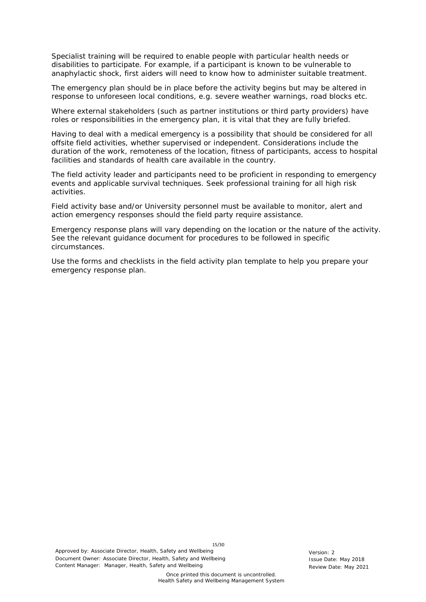Specialist training will be required to enable people with particular health needs or disabilities to participate. For example, if a participant is known to be vulnerable to anaphylactic shock, first aiders will need to know how to administer suitable treatment.

The emergency plan should be in place before the activity begins but may be altered in response to unforeseen local conditions, e.g. severe weather warnings, road blocks etc.

Where external stakeholders (such as partner institutions or third party providers) have roles or responsibilities in the emergency plan, it is vital that they are fully briefed.

Having to deal with a medical emergency is a possibility that should be considered for all offsite field activities, whether supervised or independent. Considerations include the duration of the work, remoteness of the location, fitness of participants, access to hospital facilities and standards of health care available in the country.

The field activity leader and participants need to be proficient in responding to emergency events and applicable survival techniques. Seek professional training for all high risk activities.

Field activity base and/or University personnel must be available to monitor, alert and action emergency responses should the field party require assistance.

Emergency response plans will vary depending on the location or the nature of the activity. See the relevant guidance document for procedures to be followed in specific circumstances.

Use the forms and checklists in the field activity plan template to help you prepare your emergency response plan.

15/30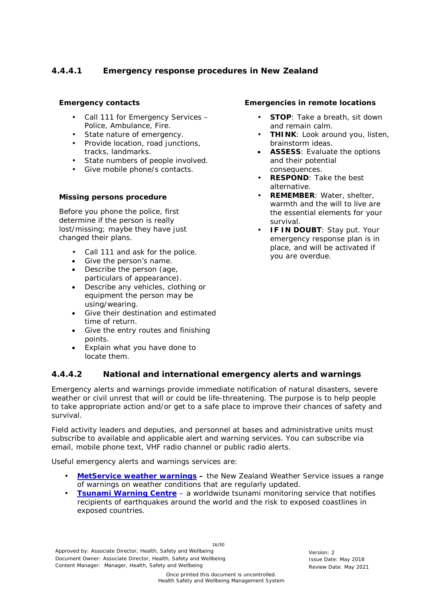## *4.4.4.1 Emergency response procedures in New Zealand*

#### **Emergency contacts**

- Call 111 for Emergency Services -Police, Ambulance, Fire.
- State nature of emergency.
- Provide location, road junctions, tracks, landmarks.
- State numbers of people involved.
- Give mobile phone/s contacts.

#### **Missing persons procedure**

Before you phone the police, first determine if the person is really lost/missing; maybe they have just changed their plans.

- Call 111 and ask for the police.
- Give the person's name.
- Describe the person (age, particulars of appearance).
- Describe any vehicles, clothing or equipment the person may be using/wearing.
- Give their destination and estimated time of return.
- Give the entry routes and finishing points.
- Explain what you have done to locate them.

#### *4.4.4.2 National and international emergency alerts and warnings*

Emergency alerts and warnings provide immediate notification of natural disasters, severe weather or civil unrest that will or could be life-threatening. The purpose is to help people to take appropriate action and/or get to a safe place to improve their chances of safety and survival.

Field activity leaders and deputies, and personnel at bases and administrative units must subscribe to available and applicable alert and warning services. You can subscribe via email, mobile phone text, VHF radio channel or public radio alerts.

Useful emergency alerts and warnings services are:

- **[MetService weather warnings](http://www.metservice.com/warnings/home) –** the New Zealand Weather Service issues a range of warnings on weather conditions that are regularly updated.
- **[Tsunami Warning Centre](http://ptwc.weather.gov/)** a worldwide tsunami monitoring service that notifies recipients of earthquakes around the world and the risk to exposed coastlines in exposed countries.

Approved by: Associate Director, Health, Safety and Wellbeing Version: 2 Document Owner: Associate Director, Health, Safety and Wellbeing Issue Date: May 2018 Content Manager: Manager, Health, Safety and Wellbeing Review Date: May 2021

## **STOP:** Take a breath, sit down and remain calm.

**Emergencies in remote locations**

- **THINK:** Look around you, listen, brainstorm ideas.
- **ASSESS**: Evaluate the options and their potential consequences.
- **RESPOND:** Take the best alternative.
- **REMEMBER**: Water, shelter, warmth and the will to live are the essential elements for your survival.
- **IF IN DOUBT**: Stay put. Your emergency response plan is in place, and will be activated if you are overdue.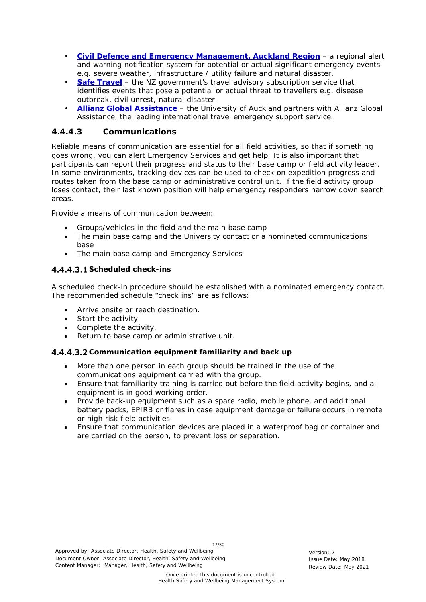- **[Civil Defence and Emergency Management,](http://www.aucklandcivildefence.org.nz/) Auckland Region** a regional alert and warning notification system for potential or actual significant emergency events e.g. severe weather, infrastructure / utility failure and natural disaster.
- **[Safe Travel](https://www.safetravel.govt.nz/travel-advisories)** the NZ government's travel advisory subscription service that identifies events that pose a potential or actual threat to travellers e.g. disease outbreak, civil unrest, natural disaster.
- **[Allianz Global Assistance](http://www.allianz-global-assistance.com/)** the University of Auckland partners with Allianz Global Assistance, the leading international travel emergency support service.

#### *4.4.4.3 Communications*

Reliable means of communication are essential for all field activities, so that if something goes wrong, you can alert Emergency Services and get help. It is also important that participants can report their progress and status to their base camp or field activity leader. In some environments, tracking devices can be used to check on expedition progress and routes taken from the base camp or administrative control unit. If the field activity group loses contact, their last known position will help emergency responders narrow down search areas.

Provide a means of communication between:

- Groups/vehicles in the field and the main base camp
- The main base camp and the University contact or a nominated communications base
- The main base camp and Emergency Services

#### **Scheduled check-ins**

A scheduled check-in procedure should be established with a nominated emergency contact. The recommended schedule "check ins" are as follows:

- Arrive onsite or reach destination.
- Start the activity.
- Complete the activity.
- Return to base camp or administrative unit.

#### **Communication equipment familiarity and back up**

- More than one person in each group should be trained in the use of the communications equipment carried with the group.
- Ensure that familiarity training is carried out before the field activity begins, and all equipment is in good working order.
- Provide back-up equipment such as a spare radio, mobile phone, and additional battery packs, EPIRB or flares in case equipment damage or failure occurs in remote or high risk field activities.
- Ensure that communication devices are placed in a waterproof bag or container and are carried on the person, to prevent loss or separation.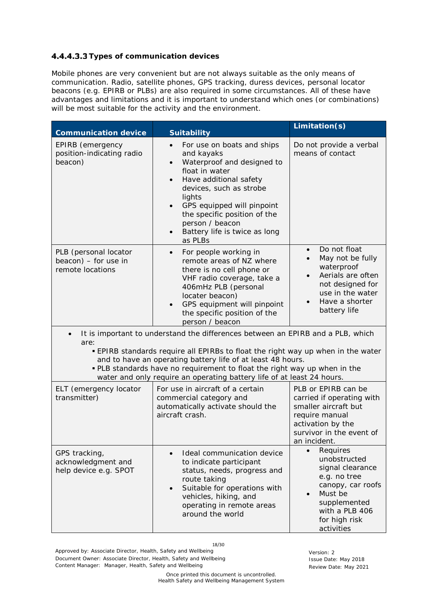#### **4.4.4.3.3 Types of communication devices**

Mobile phones are very convenient but are not always suitable as the only means of communication. Radio, satellite phones, GPS tracking, duress devices, personal locator beacons (e.g. EPIRB or PLBs) are also required in some circumstances. All of these have advantages and limitations and it is important to understand which ones (or combinations) will be most suitable for the activity and the environment.

| <b>Communication device</b>                                                                                                                                                                                                                                                                                                                                                                            | <b>Suitability</b>                                                                                                                                                                                                                                                                                                          | Limitation(s)                                                                                                                                                                                     |  |
|--------------------------------------------------------------------------------------------------------------------------------------------------------------------------------------------------------------------------------------------------------------------------------------------------------------------------------------------------------------------------------------------------------|-----------------------------------------------------------------------------------------------------------------------------------------------------------------------------------------------------------------------------------------------------------------------------------------------------------------------------|---------------------------------------------------------------------------------------------------------------------------------------------------------------------------------------------------|--|
| EPIRB (emergency<br>position-indicating radio<br>beacon)                                                                                                                                                                                                                                                                                                                                               | For use on boats and ships<br>$\bullet$<br>and kayaks<br>Waterproof and designed to<br>$\bullet$<br>float in water<br>Have additional safety<br>$\bullet$<br>devices, such as strobe<br>lights<br>GPS equipped will pinpoint<br>the specific position of the<br>person / beacon<br>Battery life is twice as long<br>as PLBs | Do not provide a verbal<br>means of contact                                                                                                                                                       |  |
| PLB (personal locator<br>beacon) - for use in<br>remote locations                                                                                                                                                                                                                                                                                                                                      | For people working in<br>$\bullet$<br>remote areas of NZ where<br>there is no cell phone or<br>VHF radio coverage, take a<br>406mHz PLB (personal<br>locater beacon)<br>GPS equipment will pinpoint<br>the specific position of the<br>person / beacon                                                                      | Do not float<br>$\bullet$<br>May not be fully<br>$\bullet$<br>waterproof<br>Aerials are often<br>$\bullet$<br>not designed for<br>use in the water<br>Have a shorter<br>$\bullet$<br>battery life |  |
| It is important to understand the differences between an EPIRB and a PLB, which<br>are:<br><b>EPIRB</b> standards require all EPIRBs to float the right way up when in the water<br>and to have an operating battery life of at least 48 hours.<br>. PLB standards have no requirement to float the right way up when in the<br>water and only require an operating battery life of at least 24 hours. |                                                                                                                                                                                                                                                                                                                             |                                                                                                                                                                                                   |  |
| ELT (emergency locator<br>transmitter)                                                                                                                                                                                                                                                                                                                                                                 | For use in aircraft of a certain<br>commercial category and<br>automatically activate should the<br>aircraft crash.                                                                                                                                                                                                         | PLB or EPIRB can be<br>carried if operating with<br>smaller aircraft but<br>require manual<br>activation by the<br>survivor in the event of<br>an incident.                                       |  |
| GPS tracking,<br>acknowledgment and<br>help device e.g. SPOT                                                                                                                                                                                                                                                                                                                                           | Ideal communication device<br>to indicate participant<br>status, needs, progress and<br>route taking<br>Suitable for operations with<br>$\bullet$<br>vehicles, hiking, and<br>operating in remote areas<br>around the world                                                                                                 | Requires<br>$\bullet$<br>unobstructed<br>signal clearance<br>e.g. no tree<br>canopy, car roofs<br>Must be<br>$\bullet$<br>supplemented<br>with a PLB 406<br>for high risk<br>activities           |  |

18/30

Approved by: Associate Director, Health, Safety and Wellbeing Version: 2 Document Owner: Associate Director, Health, Safety and Wellbeing Issue Date: May 2018 Content Manager: Manager, Health, Safety and Wellbeing Review Date: May 2021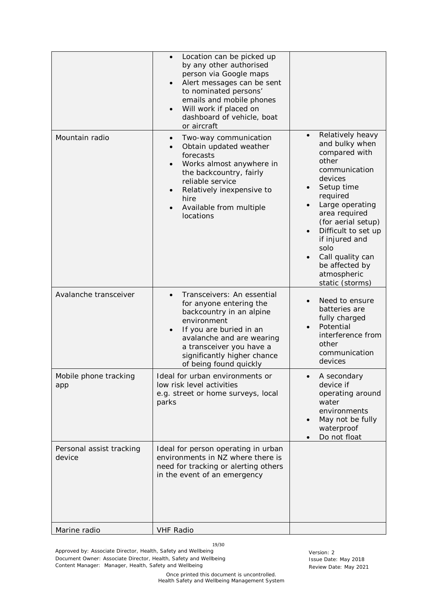|                                    | Location can be picked up<br>by any other authorised<br>person via Google maps<br>Alert messages can be sent<br>to nominated persons'<br>emails and mobile phones<br>Will work if placed on<br>dashboard of vehicle, boat                     |                                                                                                                                                                                                                                                                                                       |
|------------------------------------|-----------------------------------------------------------------------------------------------------------------------------------------------------------------------------------------------------------------------------------------------|-------------------------------------------------------------------------------------------------------------------------------------------------------------------------------------------------------------------------------------------------------------------------------------------------------|
| Mountain radio                     | or aircraft<br>Two-way communication<br>Obtain updated weather<br>forecasts<br>Works almost anywhere in<br>the backcountry, fairly<br>reliable service<br>Relatively inexpensive to<br>hire<br>Available from multiple<br>locations           | Relatively heavy<br>and bulky when<br>compared with<br>other<br>communication<br>devices<br>Setup time<br>required<br>Large operating<br>area required<br>(for aerial setup)<br>Difficult to set up<br>if injured and<br>solo<br>Call quality can<br>be affected by<br>atmospheric<br>static (storms) |
| Avalanche transceiver              | Transceivers: An essential<br>for anyone entering the<br>backcountry in an alpine<br>environment<br>If you are buried in an<br>avalanche and are wearing<br>a transceiver you have a<br>significantly higher chance<br>of being found quickly | Need to ensure<br>batteries are<br>fully charged<br>Potential<br>interference from<br>other<br>communication<br>devices                                                                                                                                                                               |
| Mobile phone tracking<br>app       | Ideal for urban environments or<br>low risk level activities<br>e.g. street or home surveys, local<br>parks                                                                                                                                   | A secondary<br>device if<br>operating around<br>water<br>environments<br>May not be fully<br>waterproof<br>Do not float                                                                                                                                                                               |
| Personal assist tracking<br>device | Ideal for person operating in urban<br>environments in NZ where there is<br>need for tracking or alerting others<br>in the event of an emergency                                                                                              |                                                                                                                                                                                                                                                                                                       |
| Marine radio                       | <b>VHF Radio</b>                                                                                                                                                                                                                              |                                                                                                                                                                                                                                                                                                       |

19/30

Approved by: Associate Director, Health, Safety and Wellbeing<br>
Document Owner: Associate Director, Health, Safety and Wellbeing<br>
Issue Date: May 2018 Document Owner: Associate Director, Health, Safety and Wellbeing Content Manager: Manager, Health, Safety and Wellbeing Review Date: May 2021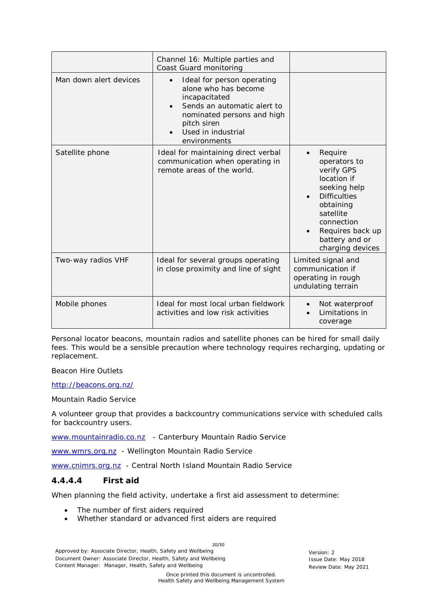|                        | Channel 16: Multiple parties and<br>Coast Guard monitoring                                                                                                                            |                                                                                                                                                                                                            |
|------------------------|---------------------------------------------------------------------------------------------------------------------------------------------------------------------------------------|------------------------------------------------------------------------------------------------------------------------------------------------------------------------------------------------------------|
| Man down alert devices | Ideal for person operating<br>alone who has become<br>incapacitated<br>Sends an automatic alert to<br>nominated persons and high<br>pitch siren<br>Used in industrial<br>environments |                                                                                                                                                                                                            |
| Satellite phone        | Ideal for maintaining direct verbal<br>communication when operating in<br>remote areas of the world.                                                                                  | Require<br>$\bullet$<br>operators to<br>verify GPS<br>location if<br>seeking help<br><b>Difficulties</b><br>obtaining<br>satellite<br>connection<br>Requires back up<br>battery and or<br>charging devices |
| Two-way radios VHF     | Ideal for several groups operating<br>in close proximity and line of sight                                                                                                            | Limited signal and<br>communication if<br>operating in rough<br>undulating terrain                                                                                                                         |
| Mobile phones          | Ideal for most local urban fieldwork<br>activities and low risk activities                                                                                                            | Not waterproof<br>$\bullet$<br>Limitations in<br>coverage                                                                                                                                                  |

Personal locator beacons, mountain radios and satellite phones can be hired for small daily fees. This would be a sensible precaution where technology requires recharging, updating or replacement.

#### *Beacon Hire Outlets*

<http://beacons.org.nz/>

#### *Mountain Radio Service*

A volunteer group that provides a backcountry communications service with scheduled calls for backcountry users.

[www.mountainradio.co.nz](http://www.mountainradio.co.nz/) - Canterbury Mountain Radio Service

[www.wmrs.org.nz](http://www.wmrs.org.nz/) - Wellington Mountain Radio Service

[www.cnimrs.org.nz](http://www.cnimrs.org.nz/) - Central North Island Mountain Radio Service

#### *4.4.4.4 First aid*

When planning the field activity, undertake a first aid assessment to determine:

- The number of first aiders required
- Whether standard or advanced first aiders are required

Approved by: Associate Director, Health, Safety and Wellbeing Version: 2 Document Owner: Associate Director, Health, Safety and Wellbeing Issue Date: May 2018 Content Manager: Manager, Health, Safety and Wellbeing Review Date: May 2021

Once printed this document is uncontrolled. Health Safety and Wellbeing Management System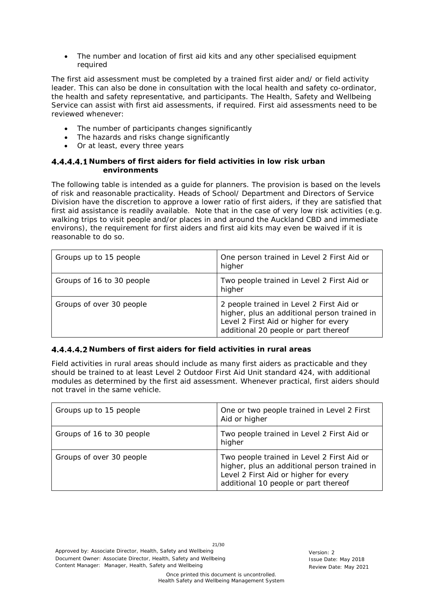• The number and location of first aid kits and any other specialised equipment required

The first aid assessment must be completed by a trained first aider and/ or field activity leader. This can also be done in consultation with the local health and safety co-ordinator, the health and safety representative, and participants. The Health, Safety and Wellbeing Service can assist with first aid assessments, if required. First aid assessments need to be reviewed whenever:

- The number of participants changes significantly
- The hazards and risks change significantly
- Or at least, every three years

#### **Numbers of first aiders for field activities in low risk urban environments**

The following table is intended as a guide for planners. The provision is based on the levels of risk and reasonable practicality. Heads of School/ Department and Directors of Service Division have the discretion to approve a lower ratio of first aiders, if they are satisfied that first aid assistance is readily available. Note that in the case of very low risk activities (e.g. walking trips to visit people and/or places in and around the Auckland CBD and immediate environs), the requirement for first aiders and first aid kits may even be waived if it is reasonable to do so.

| Groups up to 15 people    | One person trained in Level 2 First Aid or<br>higher                                                                                                                      |
|---------------------------|---------------------------------------------------------------------------------------------------------------------------------------------------------------------------|
| Groups of 16 to 30 people | Two people trained in Level 2 First Aid or<br>higher                                                                                                                      |
| Groups of over 30 people  | 2 people trained in Level 2 First Aid or<br>higher, plus an additional person trained in<br>Level 2 First Aid or higher for every<br>additional 20 people or part thereof |

#### **Numbers of first aiders for field activities in rural areas**

Field activities in rural areas should include as many first aiders as practicable and they should be trained to at least Level 2 Outdoor First Aid Unit standard 424, with additional modules as determined by the first aid assessment. Whenever practical, first aiders should not travel in the same vehicle.

| Groups up to 15 people    | One or two people trained in Level 2 First<br>Aid or higher                                                                                                                 |
|---------------------------|-----------------------------------------------------------------------------------------------------------------------------------------------------------------------------|
| Groups of 16 to 30 people | Two people trained in Level 2 First Aid or<br>higher                                                                                                                        |
| Groups of over 30 people  | Two people trained in Level 2 First Aid or<br>higher, plus an additional person trained in<br>Level 2 First Aid or higher for every<br>additional 10 people or part thereof |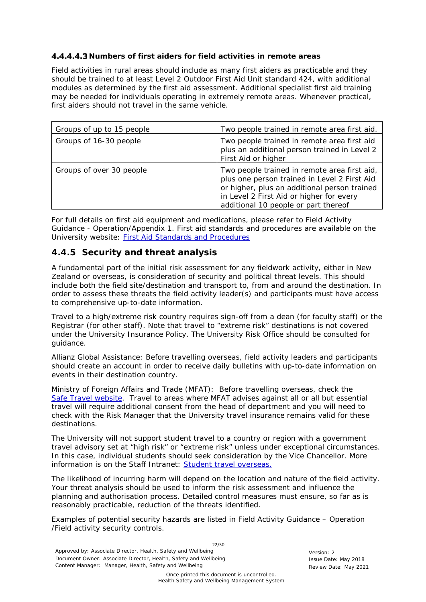#### **Numbers of first aiders for field activities in remote areas**

Field activities in rural areas should include as many first aiders as practicable and they should be trained to at least Level 2 Outdoor First Aid Unit standard 424, with additional modules as determined by the first aid assessment. Additional specialist first aid training may be needed for individuals operating in extremely remote areas. Whenever practical, first aiders should not travel in the same vehicle.

| Groups of up to 15 people | Two people trained in remote area first aid.                                                                                                                                                                                     |  |
|---------------------------|----------------------------------------------------------------------------------------------------------------------------------------------------------------------------------------------------------------------------------|--|
| Groups of 16-30 people    | Two people trained in remote area first aid<br>plus an additional person trained in Level 2<br>First Aid or higher                                                                                                               |  |
| Groups of over 30 people  | Two people trained in remote area first aid,<br>plus one person trained in Level 2 First Aid<br>or higher, plus an additional person trained<br>in Level 2 First Aid or higher for every<br>additional 10 people or part thereof |  |

For full details on first aid equipment and medications, please refer to Field Activity Guidance - Operation*/Appendix 1.* First aid standards and procedures are available on the University website: [First Aid Standards and Procedures](https://www.auckland.ac.nz/en/about/the-university/how-university-works/policy-and-administration/health-and-safety/emergency/first-aid-standards-and-procedures-.html)

#### <span id="page-21-0"></span>**4.4.5 Security and threat analysis**

A fundamental part of the initial risk assessment for any fieldwork activity, either in New Zealand or overseas, is consideration of security and political threat levels. This should include both the field site/destination and transport to, from and around the destination. In order to assess these threats the field activity leader(s) and participants must have access to comprehensive up-to-date information.

Travel to a high/extreme risk country requires sign-off from a dean (for faculty staff) or the Registrar (for other staff). Note that travel to "extreme risk" destinations is not covered under the University Insurance Policy. The University Risk Office should be consulted for guidance.

*Allianz Global Assistance:* Before travelling overseas, field activity leaders and participants should create an account in order to receive daily bulletins with up-to-date information on events in their destination country.

*Ministry of Foreign Affairs and Trade (MFAT):* Before travelling overseas, check the [Safe Travel website.](https://www.safetravel.govt.nz/) Travel to areas where MFAT advises against all or all but essential travel will require additional consent from the head of department and you will need to check with the Risk Manager that the University travel insurance remains valid for these destinations.

The University will not support student travel to a country or region with a government travel advisory set at "high risk" or "extreme risk" unless under exceptional circumstances. In this case, individual students should seek consideration by the Vice Chancellor. More information is on the Staff Intranet: [Student travel overseas.](https://www.staff.auckland.ac.nz/en/central-services/travel-and-accommodation/student-travel-for-university-activities.html)

The likelihood of incurring harm will depend on the location and nature of the field activity. Your threat analysis should be used to inform the risk assessment and influence the planning and authorisation process. Detailed control measures must ensure, so far as is reasonably practicable, reduction of the threats identified.

Examples of potential security hazards are listed in Field Activity Guidance – Operation /*Field activity security controls*.

22/30 Approved by: Associate Director, Health, Safety and Wellbeing Version: 2 Document Owner: Associate Director, Health, Safety and Wellbeing Issue Date: May 2018 Content Manager: Manager, Health, Safety and Wellbeing Review Date: May 2021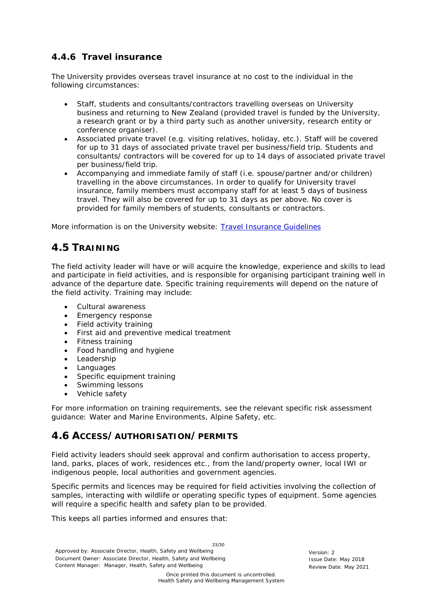## <span id="page-22-0"></span>**4.4.6 Travel insurance**

The University provides overseas travel insurance at no cost to the individual in the following circumstances:

- Staff, students and consultants/contractors travelling overseas on University business and returning to New Zealand (provided travel is funded by the University, a research grant or by a third party such as another university, research entity or conference organiser).
- Associated private travel (e.g. visiting relatives, holiday, etc.). Staff will be covered for up to 31 days of associated private travel per business/field trip. Students and consultants/ contractors will be covered for up to 14 days of associated private travel per business/field trip.
- Accompanying and immediate family of staff (i.e. spouse/partner and/or children) travelling in the above circumstances. In order to qualify for University travel insurance, family members must accompany staff for at least 5 days of business travel. They will also be covered for up to 31 days as per above. No cover is provided for family members of students, consultants or contractors.

More information is on the University website: [Travel Insurance Guidelines](https://www.auckland.ac.nz/en/about/the-university/how-university-works/policy-and-administration/finance/travel-and-vehicles/travel-insurance-guidelines-.html)

## <span id="page-22-1"></span>**4.5 TRAINING**

The field activity leader will have or will acquire the knowledge, experience and skills to lead and participate in field activities, and is responsible for organising participant training well in advance of the departure date. Specific training requirements will depend on the nature of the field activity. Training may include:

- Cultural awareness
- Emergency response
- Field activity training
- First aid and preventive medical treatment
- Fitness training
- Food handling and hygiene
- Leadership
- **Languages**
- Specific equipment training
- Swimming lessons
- Vehicle safety

For more information on training requirements, see the relevant specific risk assessment guidance: Water and Marine Environments, Alpine Safety, etc.

## <span id="page-22-2"></span>**4.6 ACCESS/AUTHORISATION/PERMITS**

Field activity leaders should seek approval and confirm authorisation to access property, land, parks, places of work, residences etc., from the land/property owner, local IWI or indigenous people, local authorities and government agencies.

Specific permits and licences may be required for field activities involving the collection of samples, interacting with wildlife or operating specific types of equipment. Some agencies will require a specific health and safety plan to be provided.

This keeps all parties informed and ensures that:

23/30 Approved by: Associate Director, Health, Safety and Wellbeing Version: 2 Document Owner: Associate Director, Health, Safety and Wellbeing Issue Date: May 2018 Content Manager: Manager, Health, Safety and Wellbeing Review Date: May 2021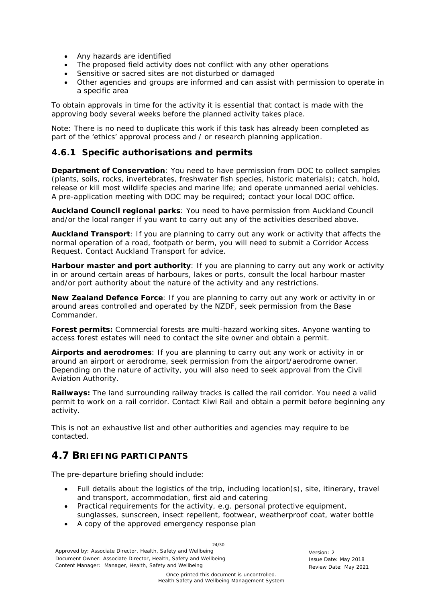- Any hazards are identified
- The proposed field activity does not conflict with any other operations
- Sensitive or sacred sites are not disturbed or damaged
- Other agencies and groups are informed and can assist with permission to operate in a specific area

To obtain approvals in time for the activity it is essential that contact is made with the approving body several weeks before the planned activity takes place.

Note: There is no need to duplicate this work if this task has already been completed as part of the 'ethics' approval process and / or research planning application.

#### <span id="page-23-0"></span>**4.6.1 Specific authorisations and permits**

**Department of Conservation**: You need to have permission from DOC to collect samples (plants, soils, rocks, invertebrates, freshwater fish species, historic materials); catch, hold, release or kill most wildlife species and marine life; and operate unmanned aerial vehicles. A pre-application meeting with DOC may be required; contact your local DOC [office.](http://www.doc.govt.nz/footer-links/contact-us/office-by-name/)

*Auckland Council regional parks:* You need to have permission from Auckland Council and/or the local ranger if you want to carry out any of the activities described above.

*Auckland Transport:* If you are planning to carry out any work or activity that affects the normal operation of a road, footpath or berm, you will need to submit a Corridor Access Request. Contact Auckland Transport for advice.

*Harbour master and port authority*: If you are planning to carry out any work or activity in or around certain areas of harbours, lakes or ports, consult the local harbour master and/or port authority about the nature of the activity and any restrictions.

*New Zealand Defence Force:* If you are planning to carry out any work or activity in or around areas controlled and operated by the NZDF, seek permission from the Base Commander.

*Forest permits***:** Commercial forests are multi-hazard working sites. Anyone wanting to access forest estates will need to contact the site owner and obtain a permit.

*Airports and aerodromes:* If you are planning to carry out any work or activity in or around an airport or aerodrome, seek permission from the airport/aerodrome owner. Depending on the nature of activity, you will also need to seek approval from the Civil Aviation Authority.

**Railways:** The land surrounding railway tracks is called the rail corridor. You need a valid permit to work on a rail corridor. Contact Kiwi Rail and obtain a permit before beginning any activity.

This is not an exhaustive list and other authorities and agencies may require to be contacted.

## <span id="page-23-1"></span>**4.7 BRIEFING PARTICIPANTS**

The pre-departure briefing should include:

- Full details about the logistics of the trip, including location(s), site, itinerary, travel and transport, accommodation, first aid and catering
- Practical requirements for the activity, e.g. personal protective equipment, sunglasses, sunscreen, insect repellent, footwear, weatherproof coat, water bottle
- A copy of the approved emergency response plan

24/30 Approved by: Associate Director, Health, Safety and Wellbeing Version: 2 Document Owner: Associate Director, Health, Safety and Wellbeing Issue Constant Issue Date: May 2018 Content Manager: Manager, Health, Safety and Wellbeing Review Date: May 2021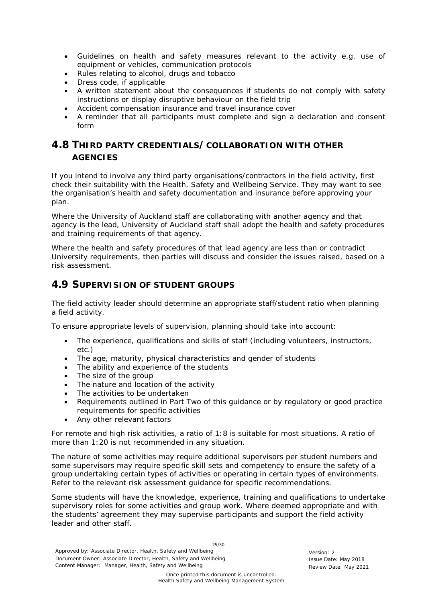- Guidelines on health and safety measures relevant to the activity e.g. use of equipment or vehicles, communication protocols
- Rules relating to alcohol, drugs and tobacco
- Dress code, if applicable
- A written statement about the consequences if students do not comply with safety instructions or display disruptive behaviour on the field trip
- Accident compensation insurance and travel insurance cover
- A reminder that all participants must complete and sign a declaration and consent form

## <span id="page-24-0"></span>**4.8 THIRD PARTY CREDENTIALS/COLLABORATION WITH OTHER AGENCIES**

If you intend to involve any third party organisations/contractors in the field activity, first check their suitability with the Health, Safety and Wellbeing Service. They may want to see the organisation's health and safety documentation and insurance before approving your plan.

Where the University of Auckland staff are collaborating with another agency and that agency is the lead, University of Auckland staff shall adopt the health and safety procedures and training requirements of that agency.

Where the health and safety procedures of that lead agency are less than or contradict University requirements, then parties will discuss and consider the issues raised, based on a risk assessment.

## <span id="page-24-1"></span>**4.9 SUPERVISION OF STUDENT GROUPS**

The field activity leader should determine an appropriate staff/student ratio when planning a field activity.

To ensure appropriate levels of supervision, planning should take into account:

- The experience, qualifications and skills of staff (including volunteers, instructors, etc.)
- The age, maturity, physical characteristics and gender of students
- The ability and experience of the students
- The size of the group
- The nature and location of the activity
- The activities to be undertaken
- Requirements outlined in Part Two of this guidance or by regulatory or good practice requirements for specific activities
- Any other relevant factors

For remote and high risk activities, a ratio of 1:8 is suitable for most situations. A ratio of more than 1:20 is not recommended in any situation.

The nature of some activities may require additional supervisors per student numbers and some supervisors may require specific skill sets and competency to ensure the safety of a group undertaking certain types of activities or operating in certain types of environments. Refer to the relevant risk assessment guidance for specific recommendations.

Some students will have the knowledge, experience, training and qualifications to undertake supervisory roles for some activities and group work. Where deemed appropriate and with the students' agreement they may supervise participants and support the field activity leader and other staff.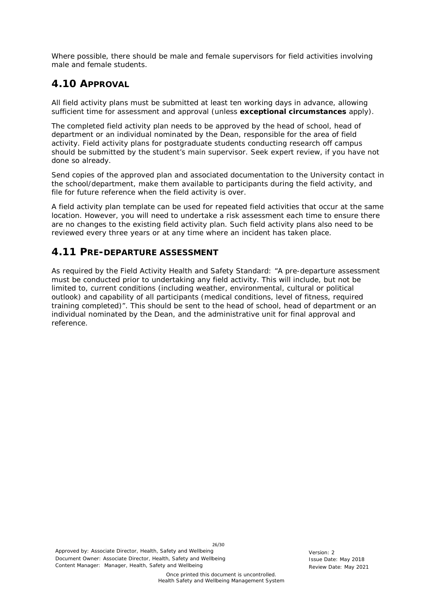Where possible, there should be male and female supervisors for field activities involving male and female students.

## <span id="page-25-0"></span>**4.10 APPROVAL**

All field activity plans must be submitted at least ten working days in advance, allowing sufficient time for assessment and approval (unless **exceptional circumstances** apply).

The completed field activity plan needs to be approved by the head of school, head of department or an individual nominated by the Dean, responsible for the area of field activity. Field activity plans for postgraduate students conducting research off campus should be submitted by the student's main supervisor. Seek expert review, if you have not done so already.

Send copies of the approved plan and associated documentation to the University contact in the school/department, make them available to participants during the field activity, and file for future reference when the field activity is over.

A field activity plan template can be used for repeated field activities that occur at the same location. However, you will need to undertake a risk assessment each time to ensure there are no changes to the existing field activity plan. Such field activity plans also need to be reviewed every three years or at any time where an incident has taken place.

## <span id="page-25-1"></span>**4.11 PRE-DEPARTURE ASSESSMENT**

As required by the Field Activity Health and Safety Standard: "A pre-departure assessment must be conducted prior to undertaking any field activity. This will include, but not be limited to, current conditions (including weather, environmental, cultural or political outlook) and capability of all participants (medical conditions, level of fitness, required training completed)". This should be sent to the head of school, head of department or an individual nominated by the Dean, and the administrative unit for final approval and reference.

26/30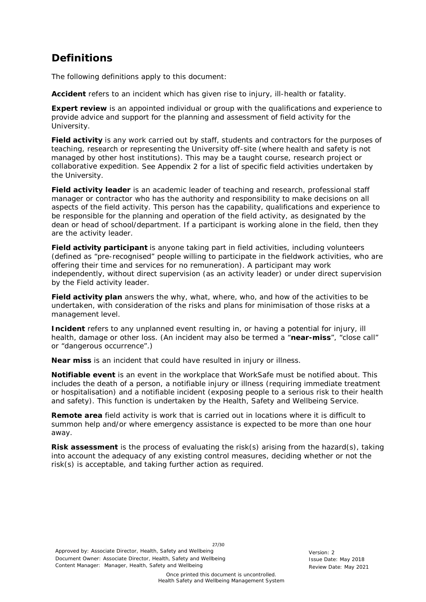# <span id="page-26-0"></span>**Definitions**

<span id="page-26-1"></span>The following definitions apply to this document:

**Accident** refers to an incident which has given rise to injury, ill-health or fatality.

**Expert review** is an appointed individual or group with the qualifications and experience to provide advice and support for the planning and assessment of field activity for the University.

**Field activity** is any work carried out by staff, students and contractors for the purposes of teaching, research or representing the University off-site (where health and safety is not managed by other host institutions). This may be a taught course, research project or collaborative expedition. See Appendix 2 for a list of specific field activities undertaken by the University.

**Field activity leader** is an academic leader of teaching and research, professional staff manager or contractor who has the authority and responsibility to make decisions on all aspects of the field activity. This person has the capability, qualifications and experience to be responsible for the planning and operation of the field activity, as designated by the dean or head of school/department. If a participant is working alone in the field, then they are the activity leader.

**Field activity participant** is anyone taking part in field activities, including volunteers (defined as "pre-recognised" people willing to participate in the fieldwork activities, who are offering their time and services for no remuneration). A participant may work independently, without direct supervision (as an activity leader) or under direct supervision by the Field activity leader.

**Field activity plan** answers the why, what, where, who, and how of the activities to be undertaken, with consideration of the risks and plans for minimisation of those risks at a management level.

**Incident** refers to any unplanned event resulting in, or having a potential for injury, ill health, damage or other loss. (An incident may also be termed a "**near-miss**", "close call" or "dangerous occurrence".)

**Near miss** is an incident that could have resulted in injury or illness.

**Notifiable event** is an event in the workplace that WorkSafe must be notified about. This includes the death of a person, a notifiable injury or illness (requiring immediate treatment or hospitalisation) and a notifiable incident (exposing people to a serious risk to their health and safety). This function is undertaken by the Health, Safety and Wellbeing Service.

**Remote area** field activity is work that is carried out in locations where it is difficult to summon help and/or where emergency assistance is expected to be more than one hour away.

**Risk assessment** is the process of evaluating the risk(s) arising from the hazard(s), taking into account the adequacy of any existing control measures, deciding whether or not the risk(s) is acceptable, and taking further action as required.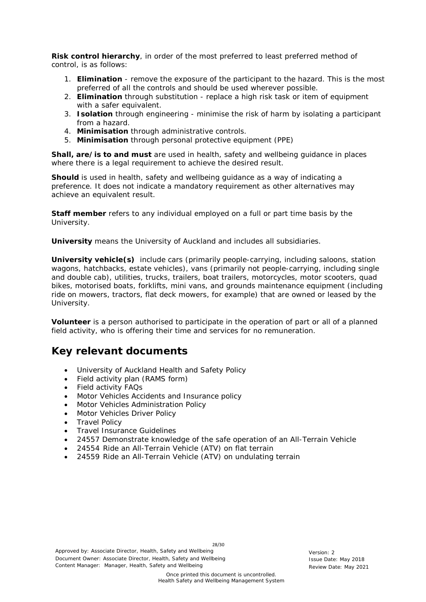**Risk control hierarchy**, in order of the most preferred to least preferred method of control, is as follows:

- 1. **Elimination** remove the exposure of the participant to the hazard. This is the most preferred of all the controls and should be used wherever possible.
- 2. **Elimination** through substitution replace a high risk task or item of equipment with a safer equivalent.
- 3. **Isolation** through engineering minimise the risk of harm by isolating a participant from a hazard.
- 4. **Minimisation** through administrative controls.
- 5. **Minimisation** through personal protective equipment (PPE)

**Shall, are/is to and must** are used in health, safety and wellbeing guidance in places where there is a legal requirement to achieve the desired result.

**Should** is used in health, safety and wellbeing guidance as a way of indicating a preference. It does not indicate a mandatory requirement as other alternatives may achieve an equivalent result.

**Staff member** refers to any individual employed on a full or part time basis by the University.

**University** means the University of Auckland and includes all subsidiaries.

**University vehicle(s)** include cars (primarily people-carrying, including saloons, station wagons, hatchbacks, estate vehicles), vans (primarily not people-carrying, including single and double cab), utilities, trucks, trailers, boat trailers, motorcycles, motor scooters, quad bikes, motorised boats, forklifts, mini vans, and grounds maintenance equipment (including ride on mowers, tractors, flat deck mowers, for example) that are owned or leased by the University.

**Volunteer** is a person authorised to participate in the operation of part or all of a planned field activity, who is offering their time and services for no remuneration.

## <span id="page-27-0"></span>**Key relevant documents**

- University of Auckland Health and Safety Policy
- Field activity plan (RAMS form)
- Field activity FAQs
- Motor Vehicles Accidents and Insurance policy
- Motor Vehicles Administration Policy
- Motor Vehicles Driver Policy
- Travel Policy
- Travel Insurance Guidelines
- 24557 Demonstrate knowledge of the safe operation of an All-Terrain Vehicle
- 24554 Ride an All-Terrain Vehicle (ATV) on flat terrain
- 24559 Ride an All-Terrain Vehicle (ATV) on undulating terrain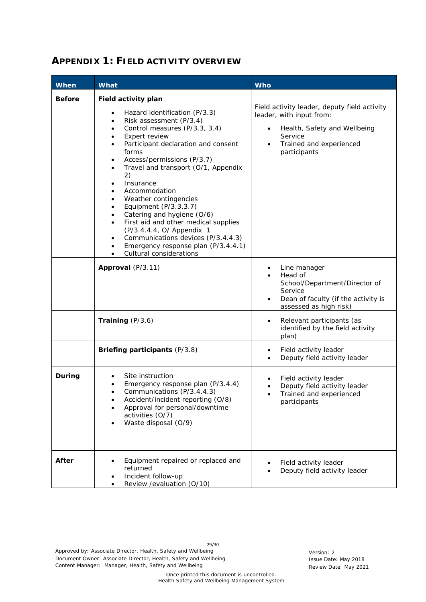# <span id="page-28-0"></span>**APPENDIX 1: FIELD ACTIVITY OVERVIEW**

| When          | What                                                                                                                                                                                                                                                                                                                                                                                                                                                                                                                                                                                                                                                                                     | <b>Who</b>                                                                                                                                                                  |
|---------------|------------------------------------------------------------------------------------------------------------------------------------------------------------------------------------------------------------------------------------------------------------------------------------------------------------------------------------------------------------------------------------------------------------------------------------------------------------------------------------------------------------------------------------------------------------------------------------------------------------------------------------------------------------------------------------------|-----------------------------------------------------------------------------------------------------------------------------------------------------------------------------|
| <b>Before</b> | Field activity plan<br>Hazard identification (P/3.3)<br>Risk assessment (P/3.4)<br>٠<br>Control measures (P/3.3, 3.4)<br>٠<br>Expert review<br>$\bullet$<br>Participant declaration and consent<br>$\bullet$<br>forms<br>Access/permissions (P/3.7)<br>$\bullet$<br>Travel and transport (O/1, Appendix<br>$\bullet$<br>2)<br>Insurance<br>٠<br>Accommodation<br>$\bullet$<br>Weather contingencies<br>٠<br>Equipment (P/3.3.3.7)<br>٠<br>Catering and hygiene (O/6)<br>$\bullet$<br>First aid and other medical supplies<br>$\bullet$<br>(P/3.4.4.4, O/ Appendix 1<br>Communications devices (P/3.4.4.3)<br>$\bullet$<br>Emergency response plan (P/3.4.4.1)<br>Cultural considerations | Field activity leader, deputy field activity<br>leader, with input from:<br>Health, Safety and Wellbeing<br>Service<br>Trained and experienced<br>$\bullet$<br>participants |
|               | Approval (P/3.11)                                                                                                                                                                                                                                                                                                                                                                                                                                                                                                                                                                                                                                                                        | Line manager<br>٠<br>Head of<br>School/Department/Director of<br>Service<br>Dean of faculty (if the activity is<br>$\bullet$<br>assessed as high risk)                      |
|               | Training $(P/3.6)$                                                                                                                                                                                                                                                                                                                                                                                                                                                                                                                                                                                                                                                                       | Relevant participants (as<br>٠<br>identified by the field activity<br>plan)                                                                                                 |
|               | Briefing participants (P/3.8)                                                                                                                                                                                                                                                                                                                                                                                                                                                                                                                                                                                                                                                            | Field activity leader<br>$\bullet$<br>Deputy field activity leader<br>$\bullet$                                                                                             |
| During        | Site instruction<br>Emergency response plan (P/3.4.4)<br>Communications (P/3.4.4.3)<br>Accident/incident reporting (O/8)<br>Approval for personal/downtime<br>activities (O/7)<br>Waste disposal (O/9)<br>٠                                                                                                                                                                                                                                                                                                                                                                                                                                                                              | Field activity leader<br>Deputy field activity leader<br>Trained and experienced<br>participants                                                                            |
| After         | Equipment repaired or replaced and<br>٠<br>returned<br>Incident follow-up<br>Review / evaluation (O/10)<br>$\bullet$                                                                                                                                                                                                                                                                                                                                                                                                                                                                                                                                                                     | Field activity leader<br>Deputy field activity leader                                                                                                                       |

29/30 Approved by: Associate Director, Health, Safety and Wellbeing<br>
Document Owner: Associate Director, Health, Safety and Wellbeing<br>
Issue Date: May 2018 Document Owner: Associate Director, Health, Safety and Wellbeing Content Manager: Manager, Health, Safety and Wellbeing Review Date: May 2021